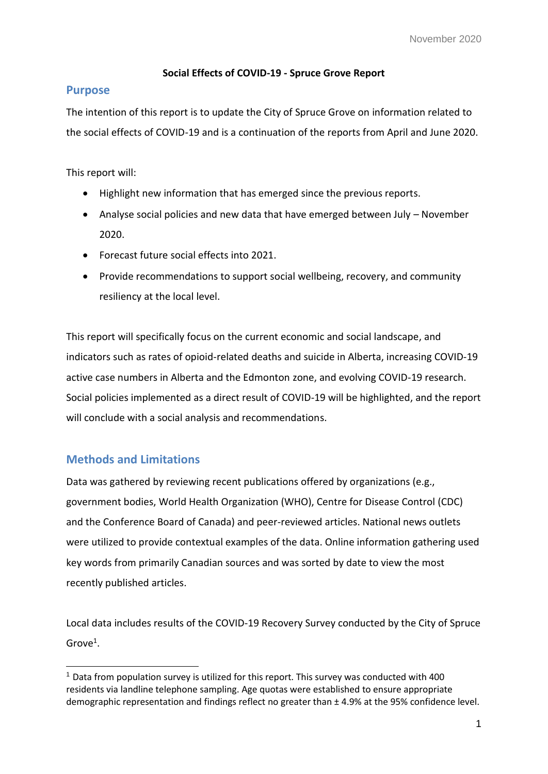## **Social Effects of COVID-19 - Spruce Grove Report**

# **Purpose**

The intention of this report is to update the City of Spruce Grove on information related to the social effects of COVID-19 and is a continuation of the reports from April and June 2020.

This report will:

- Highlight new information that has emerged since the previous reports.
- Analyse social policies and new data that have emerged between July November 2020.
- Forecast future social effects into 2021.
- Provide recommendations to support social wellbeing, recovery, and community resiliency at the local level.

This report will specifically focus on the current economic and social landscape, and indicators such as rates of opioid-related deaths and suicide in Alberta, increasing COVID-19 active case numbers in Alberta and the Edmonton zone, and evolving COVID-19 research. Social policies implemented as a direct result of COVID-19 will be highlighted, and the report will conclude with a social analysis and recommendations.

# **Methods and Limitations**

-

Data was gathered by reviewing recent publications offered by organizations (e.g., government bodies, World Health Organization (WHO), Centre for Disease Control (CDC) and the Conference Board of Canada) and peer-reviewed articles. National news outlets were utilized to provide contextual examples of the data. Online information gathering used key words from primarily Canadian sources and was sorted by date to view the most recently published articles.

Local data includes results of the COVID-19 Recovery Survey conducted by the City of Spruce Grove<sup>1</sup>.

<sup>1</sup> Data from population survey is utilized for this report. This survey was conducted with 400 residents via landline telephone sampling. Age quotas were established to ensure appropriate demographic representation and findings reflect no greater than ± 4.9% at the 95% confidence level.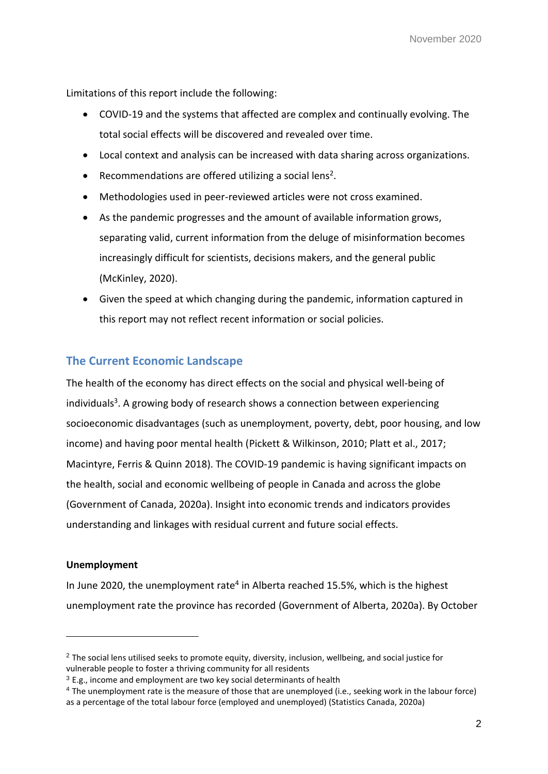Limitations of this report include the following:

- COVID-19 and the systems that affected are complex and continually evolving. The total social effects will be discovered and revealed over time.
- Local context and analysis can be increased with data sharing across organizations.
- $\bullet$  Recommendations are offered utilizing a social lens<sup>2</sup>.
- Methodologies used in peer-reviewed articles were not cross examined.
- As the pandemic progresses and the amount of available information grows, separating valid, current information from the deluge of misinformation becomes increasingly difficult for scientists, decisions makers, and the general public (McKinley, 2020).
- Given the speed at which changing during the pandemic, information captured in this report may not reflect recent information or social policies.

# **The Current Economic Landscape**

The health of the economy has direct effects on the social and physical well-being of individuals<sup>3</sup>. A growing body of research shows a connection between experiencing socioeconomic disadvantages (such as unemployment, poverty, debt, poor housing, and low income) and having poor mental health (Pickett & Wilkinson, 2010; Platt et al., 2017; Macintyre, Ferris & Quinn 2018). The COVID-19 pandemic is having significant impacts on the health, social and economic wellbeing of people in Canada and across the globe (Government of Canada, 2020a). Insight into economic trends and indicators provides understanding and linkages with residual current and future social effects.

## **Unemployment**

-

In June 2020, the unemployment rate<sup>4</sup> in Alberta reached 15.5%, which is the highest unemployment rate the province has recorded (Government of Alberta, 2020a). By October

<sup>&</sup>lt;sup>2</sup> The social lens utilised seeks to promote equity, diversity, inclusion, wellbeing, and social justice for vulnerable people to foster a thriving community for all residents

 $3$  E.g., income and employment are two key social determinants of health

<sup>4</sup> The unemployment rate is the measure of those that are unemployed (i.e., seeking work in the labour force) as a percentage of the total labour force (employed and unemployed) (Statistics Canada, 2020a)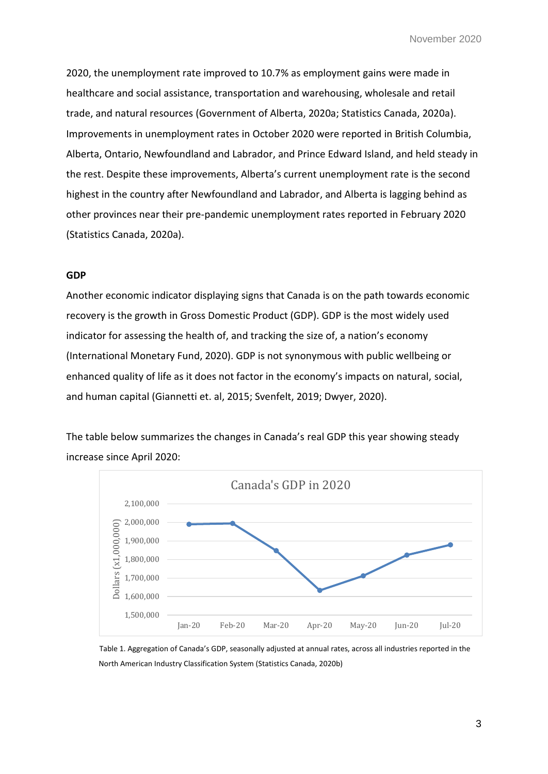2020, the unemployment rate improved to 10.7% as employment gains were made in healthcare and social assistance, transportation and warehousing, wholesale and retail trade, and natural resources (Government of Alberta, 2020a; Statistics Canada, 2020a). Improvements in unemployment rates in October 2020 were reported in British Columbia, Alberta, Ontario, Newfoundland and Labrador, and Prince Edward Island, and held steady in the rest. Despite these improvements, Alberta's current unemployment rate is the second highest in the country after Newfoundland and Labrador, and Alberta is lagging behind as other provinces near their pre-pandemic unemployment rates reported in February 2020 (Statistics Canada, 2020a).

#### **GDP**

Another economic indicator displaying signs that Canada is on the path towards economic recovery is the growth in Gross Domestic Product (GDP). GDP is the most widely used indicator for assessing the health of, and tracking the size of, a nation's economy (International Monetary Fund, 2020). GDP is not synonymous with public wellbeing or enhanced quality of life as it does not factor in the economy's impacts on natural, social, and human capital (Giannetti et. al, 2015; Svenfelt, 2019; Dwyer, 2020).

The table below summarizes the changes in Canada's real GDP this year showing steady increase since April 2020:



Table 1. Aggregation of Canada's GDP, seasonally adjusted at annual rates, across all industries reported in the North American Industry Classification System (Statistics Canada, 2020b)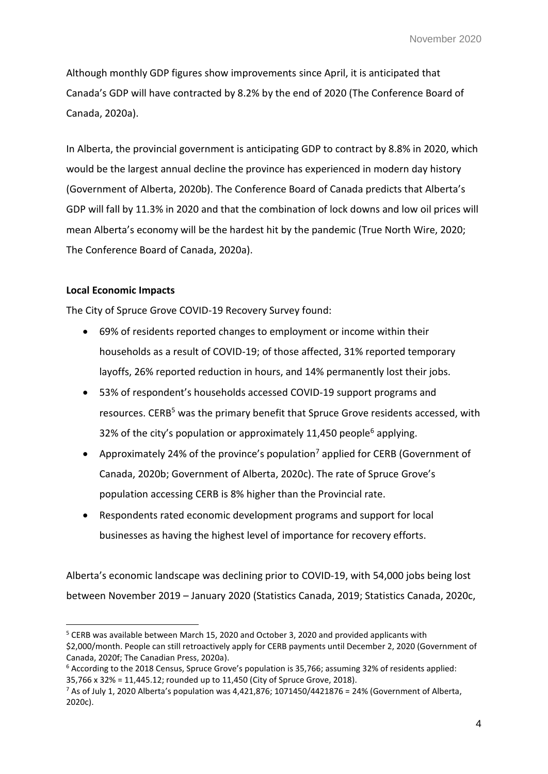Although monthly GDP figures show improvements since April, it is anticipated that Canada's GDP will have contracted by 8.2% by the end of 2020 (The Conference Board of Canada, 2020a).

In Alberta, the provincial government is anticipating GDP to contract by 8.8% in 2020, which would be the largest annual decline the province has experienced in modern day history (Government of Alberta, 2020b). The Conference Board of Canada predicts that Alberta's GDP will fall by 11.3% in 2020 and that the combination of lock downs and low oil prices will mean Alberta's economy will be the hardest hit by the pandemic (True North Wire, 2020; The Conference Board of Canada, 2020a).

## **Local Economic Impacts**

-

The City of Spruce Grove COVID-19 Recovery Survey found:

- 69% of residents reported changes to employment or income within their households as a result of COVID-19; of those affected, 31% reported temporary layoffs, 26% reported reduction in hours, and 14% permanently lost their jobs.
- 53% of respondent's households accessed COVID-19 support programs and resources. CERB<sup>5</sup> was the primary benefit that Spruce Grove residents accessed, with 32% of the city's population or approximately 11,450 people<sup>6</sup> applying.
- Approximately 24% of the province's population<sup>7</sup> applied for CERB (Government of Canada, 2020b; Government of Alberta, 2020c). The rate of Spruce Grove's population accessing CERB is 8% higher than the Provincial rate.
- Respondents rated economic development programs and support for local businesses as having the highest level of importance for recovery efforts.

Alberta's economic landscape was declining prior to COVID-19, with 54,000 jobs being lost between November 2019 – January 2020 (Statistics Canada, 2019; Statistics Canada, 2020c,

<sup>&</sup>lt;sup>5</sup> CERB was available between March 15, 2020 and October 3, 2020 and provided applicants with \$2,000/month. People can still retroactively apply for CERB payments until December 2, 2020 (Government of Canada, 2020f; The Canadian Press, 2020a).

<sup>6</sup> According to the 2018 Census, Spruce Grove's population is 35,766; assuming 32% of residents applied: 35,766 x 32% = 11,445.12; rounded up to 11,450 (City of Spruce Grove, 2018).

 $7$  As of July 1, 2020 Alberta's population was 4,421,876; 1071450/4421876 = 24% (Government of Alberta, 2020c).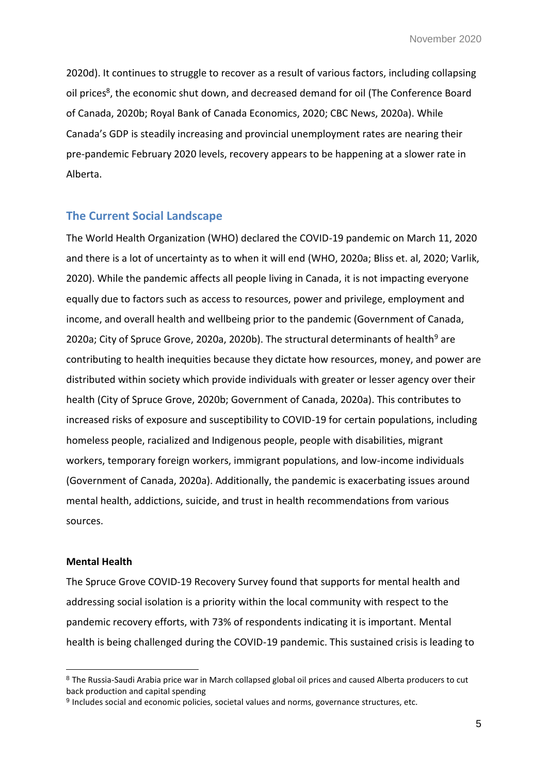2020d). It continues to struggle to recover as a result of various factors, including collapsing oil prices<sup>8</sup>, the economic shut down, and decreased demand for oil (The Conference Board of Canada, 2020b; Royal Bank of Canada Economics, 2020; CBC News, 2020a). While Canada's GDP is steadily increasing and provincial unemployment rates are nearing their pre-pandemic February 2020 levels, recovery appears to be happening at a slower rate in Alberta.

## **The Current Social Landscape**

The World Health Organization (WHO) declared the COVID-19 pandemic on March 11, 2020 and there is a lot of uncertainty as to when it will end (WHO, 2020a; Bliss et. al, 2020; Varlik, 2020). While the pandemic affects all people living in Canada, it is not impacting everyone equally due to factors such as access to resources, power and privilege, employment and income, and overall health and wellbeing prior to the pandemic (Government of Canada, 2020a; City of Spruce Grove, 2020a, 2020b). The structural determinants of health<sup>9</sup> are contributing to health inequities because they dictate how resources, money, and power are distributed within society which provide individuals with greater or lesser agency over their health (City of Spruce Grove, 2020b; Government of Canada, 2020a). This contributes to increased risks of exposure and susceptibility to COVID-19 for certain populations, including homeless people, racialized and Indigenous people, people with disabilities, migrant workers, temporary foreign workers, immigrant populations, and low-income individuals (Government of Canada, 2020a). Additionally, the pandemic is exacerbating issues around mental health, addictions, suicide, and trust in health recommendations from various sources.

#### **Mental Health**

-

The Spruce Grove COVID-19 Recovery Survey found that supports for mental health and addressing social isolation is a priority within the local community with respect to the pandemic recovery efforts, with 73% of respondents indicating it is important. Mental health is being challenged during the COVID-19 pandemic. This sustained crisis is leading to

<sup>8</sup> The Russia-Saudi Arabia price war in March collapsed global oil prices and caused Alberta producers to cut back production and capital spending

<sup>&</sup>lt;sup>9</sup> Includes social and economic policies, societal values and norms, governance structures, etc.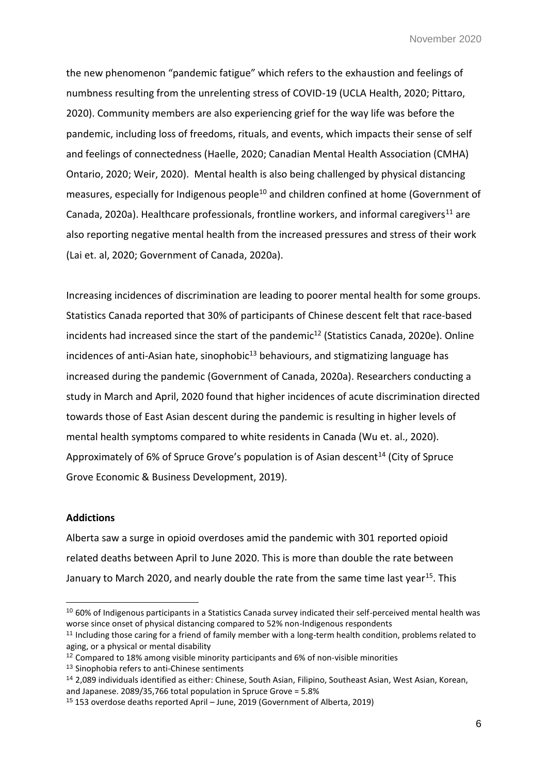the new phenomenon "pandemic fatigue" which refers to the exhaustion and feelings of numbness resulting from the unrelenting stress of COVID-19 (UCLA Health, 2020; Pittaro, 2020). Community members are also experiencing grief for the way life was before the pandemic, including loss of freedoms, rituals, and events, which impacts their sense of self and feelings of connectedness (Haelle, 2020; Canadian Mental Health Association (CMHA) Ontario, 2020; Weir, 2020). Mental health is also being challenged by physical distancing measures, especially for Indigenous people<sup>10</sup> and children confined at home (Government of Canada, 2020a). Healthcare professionals, frontline workers, and informal caregivers<sup>11</sup> are also reporting negative mental health from the increased pressures and stress of their work (Lai et. al, 2020; Government of Canada, 2020a).

Increasing incidences of discrimination are leading to poorer mental health for some groups. Statistics Canada reported that 30% of participants of Chinese descent felt that race-based incidents had increased since the start of the pandemic<sup>12</sup> (Statistics Canada, 2020e). Online incidences of anti-Asian hate, sinophobic $13$  behaviours, and stigmatizing language has increased during the pandemic (Government of Canada, 2020a). Researchers conducting a study in March and April, 2020 found that higher incidences of acute discrimination directed towards those of East Asian descent during the pandemic is resulting in higher levels of mental health symptoms compared to white residents in Canada (Wu et. al., 2020). Approximately of 6% of Spruce Grove's population is of Asian descent<sup>14</sup> (City of Spruce Grove Economic & Business Development, 2019).

#### **Addictions**

-

Alberta saw a surge in opioid overdoses amid the pandemic with 301 reported opioid related deaths between April to June 2020. This is more than double the rate between January to March 2020, and nearly double the rate from the same time last year<sup>15</sup>. This

<sup>&</sup>lt;sup>10</sup> 60% of Indigenous participants in a Statistics Canada survey indicated their self-perceived mental health was worse since onset of physical distancing compared to 52% non-Indigenous respondents

<sup>11</sup> Including those caring for a friend of family member with a long-term health condition, problems related to aging, or a physical or mental disability

<sup>&</sup>lt;sup>12</sup> Compared to 18% among visible minority participants and 6% of non-visible minorities

<sup>13</sup> Sinophobia refers to anti-Chinese sentiments

<sup>14</sup> 2,089 individuals identified as either: Chinese, South Asian, Filipino, Southeast Asian, West Asian, Korean, and Japanese. 2089/35,766 total population in Spruce Grove = 5.8%

<sup>15</sup> 153 overdose deaths reported April – June, 2019 (Government of Alberta, 2019)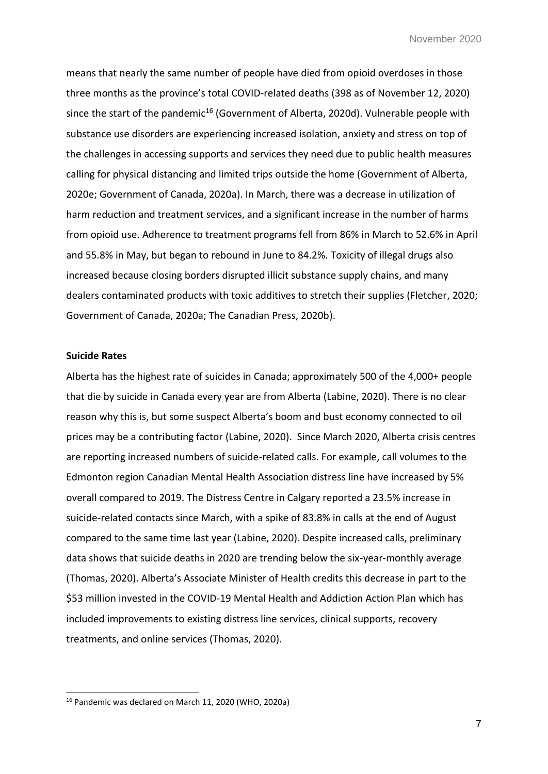means that nearly the same number of people have died from opioid overdoses in those three months as the province's total COVID-related deaths (398 as of November 12, 2020) since the start of the pandemic<sup>16</sup> (Government of Alberta, 2020d). Vulnerable people with substance use disorders are experiencing increased isolation, anxiety and stress on top of the challenges in accessing supports and services they need due to public health measures calling for physical distancing and limited trips outside the home (Government of Alberta, 2020e; Government of Canada, 2020a). In March, there was a decrease in utilization of harm reduction and treatment services, and a significant increase in the number of harms from opioid use. Adherence to treatment programs fell from 86% in March to 52.6% in April and 55.8% in May, but began to rebound in June to 84.2%. Toxicity of illegal drugs also increased because closing borders disrupted illicit substance supply chains, and many dealers contaminated products with toxic additives to stretch their supplies (Fletcher, 2020; Government of Canada, 2020a; The Canadian Press, 2020b).

### **Suicide Rates**

-

Alberta has the highest rate of suicides in Canada; approximately 500 of the 4,000+ people that die by suicide in Canada every year are from Alberta (Labine, 2020). There is no clear reason why this is, but some suspect Alberta's boom and bust economy connected to oil prices may be a contributing factor (Labine, 2020). Since March 2020, Alberta crisis centres are reporting increased numbers of suicide-related calls. For example, call volumes to the Edmonton region Canadian Mental Health Association distress line have increased by 5% overall compared to 2019. The Distress Centre in Calgary reported a 23.5% increase in suicide-related contacts since March, with a spike of 83.8% in calls at the end of August compared to the same time last year (Labine, 2020). Despite increased calls, preliminary data shows that suicide deaths in 2020 are trending below the six-year-monthly average (Thomas, 2020). Alberta's Associate Minister of Health credits this decrease in part to the \$53 million invested in the COVID-19 Mental Health and Addiction Action Plan which has included improvements to existing distress line services, clinical supports, recovery treatments, and online services (Thomas, 2020).

<sup>16</sup> Pandemic was declared on March 11, 2020 (WHO, 2020a)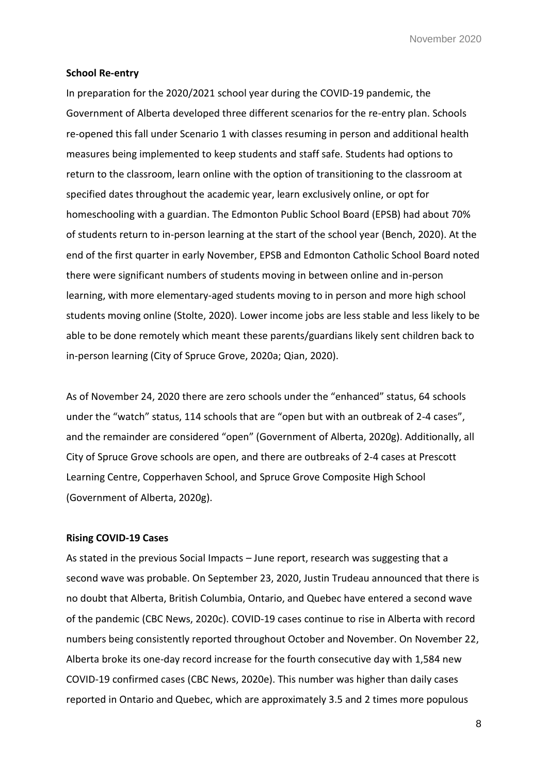#### **School Re-entry**

In preparation for the 2020/2021 school year during the COVID-19 pandemic, the Government of Alberta developed three different scenarios for the re-entry plan. Schools re-opened this fall under Scenario 1 with classes resuming in person and additional health measures being implemented to keep students and staff safe. Students had options to return to the classroom, learn online with the option of transitioning to the classroom at specified dates throughout the academic year, learn exclusively online, or opt for homeschooling with a guardian. The Edmonton Public School Board (EPSB) had about 70% of students return to in-person learning at the start of the school year (Bench, 2020). At the end of the first quarter in early November, EPSB and Edmonton Catholic School Board noted there were significant numbers of students moving in between online and in-person learning, with more elementary-aged students moving to in person and more high school students moving online (Stolte, 2020). Lower income jobs are less stable and less likely to be able to be done remotely which meant these parents/guardians likely sent children back to in-person learning (City of Spruce Grove, 2020a; Qian, 2020).

As of November 24, 2020 there are zero schools under the "enhanced" status, 64 schools under the "watch" status, 114 schools that are "open but with an outbreak of 2-4 cases", and the remainder are considered "open" (Government of Alberta, 2020g). Additionally, all City of Spruce Grove schools are open, and there are outbreaks of 2-4 cases at Prescott Learning Centre, Copperhaven School, and Spruce Grove Composite High School (Government of Alberta, 2020g).

#### **Rising COVID-19 Cases**

As stated in the previous Social Impacts – June report, research was suggesting that a second wave was probable. On September 23, 2020, Justin Trudeau announced that there is no doubt that Alberta, British Columbia, Ontario, and Quebec have entered a second wave of the pandemic (CBC News, 2020c). COVID-19 cases continue to rise in Alberta with record numbers being consistently reported throughout October and November. On November 22, Alberta broke its one-day record increase for the fourth consecutive day with 1,584 new COVID-19 confirmed cases (CBC News, 2020e). This number was higher than daily cases reported in Ontario and Quebec, which are approximately 3.5 and 2 times more populous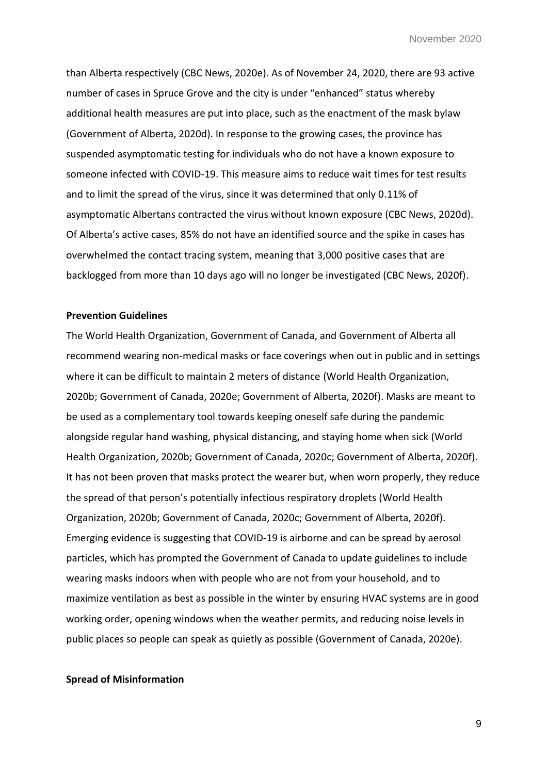than Alberta respectively (CBC News, 2020e). As of November 24, 2020, there are 93 active number of cases in Spruce Grove and the city is under "enhanced" status whereby additional health measures are put into place, such as the enactment of the mask bylaw (Government of Alberta, 2020d). In response to the growing cases, the province has suspended asymptomatic testing for individuals who do not have a known exposure to someone infected with COVID-19. This measure aims to reduce wait times for test results and to limit the spread of the virus, since it was determined that only 0.11% of asymptomatic Albertans contracted the virus without known exposure (CBC News, 2020d). Of Alberta's active cases, 85% do not have an identified source and the spike in cases has overwhelmed the contact tracing system, meaning that 3,000 positive cases that are backlogged from more than 10 days ago will no longer be investigated (CBC News, 2020f).

#### **Prevention Guidelines**

The World Health Organization, Government of Canada, and Government of Alberta all recommend wearing non-medical masks or face coverings when out in public and in settings where it can be difficult to maintain 2 meters of distance (World Health Organization, 2020b; Government of Canada, 2020e; Government of Alberta, 2020f). Masks are meant to be used as a complementary tool towards keeping oneself safe during the pandemic alongside regular hand washing, physical distancing, and staying home when sick (World Health Organization, 2020b; Government of Canada, 2020c; Government of Alberta, 2020f). It has not been proven that masks protect the wearer but, when worn properly, they reduce the spread of that person's potentially infectious respiratory droplets (World Health Organization, 2020b; Government of Canada, 2020c; Government of Alberta, 2020f). Emerging evidence is suggesting that COVID-19 is airborne and can be spread by aerosol particles, which has prompted the Government of Canada to update guidelines to include wearing masks indoors when with people who are not from your household, and to maximize ventilation as best as possible in the winter by ensuring HVAC systems are in good working order, opening windows when the weather permits, and reducing noise levels in public places so people can speak as quietly as possible (Government of Canada, 2020e).

#### **Spread of Misinformation**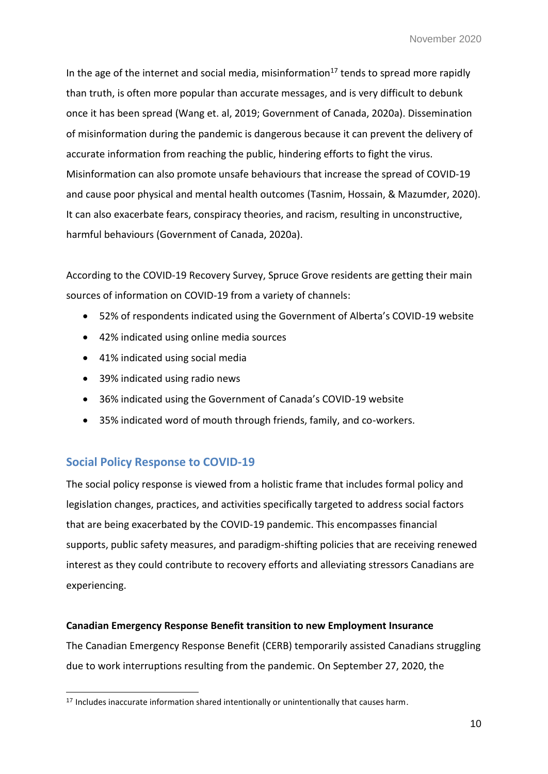In the age of the internet and social media, misinformation<sup>17</sup> tends to spread more rapidly than truth, is often more popular than accurate messages, and is very difficult to debunk once it has been spread (Wang et. al, 2019; Government of Canada, 2020a). Dissemination of misinformation during the pandemic is dangerous because it can prevent the delivery of accurate information from reaching the public, hindering efforts to fight the virus. Misinformation can also promote unsafe behaviours that increase the spread of COVID-19 and cause poor physical and mental health outcomes (Tasnim, Hossain, & Mazumder, 2020). It can also exacerbate fears, conspiracy theories, and racism, resulting in unconstructive, harmful behaviours (Government of Canada, 2020a).

According to the COVID-19 Recovery Survey, Spruce Grove residents are getting their main sources of information on COVID-19 from a variety of channels:

- 52% of respondents indicated using the Government of Alberta's COVID-19 website
- 42% indicated using online media sources
- 41% indicated using social media
- 39% indicated using radio news
- 36% indicated using the Government of Canada's COVID-19 website
- 35% indicated word of mouth through friends, family, and co-workers.

# **Social Policy Response to COVID-19**

-

The social policy response is viewed from a holistic frame that includes formal policy and legislation changes, practices, and activities specifically targeted to address social factors that are being exacerbated by the COVID-19 pandemic. This encompasses financial supports, public safety measures, and paradigm-shifting policies that are receiving renewed interest as they could contribute to recovery efforts and alleviating stressors Canadians are experiencing.

## **Canadian Emergency Response Benefit transition to new Employment Insurance**

The Canadian Emergency Response Benefit (CERB) temporarily assisted Canadians struggling due to work interruptions resulting from the pandemic. On September 27, 2020, the

<sup>&</sup>lt;sup>17</sup> Includes inaccurate information shared intentionally or unintentionally that causes harm.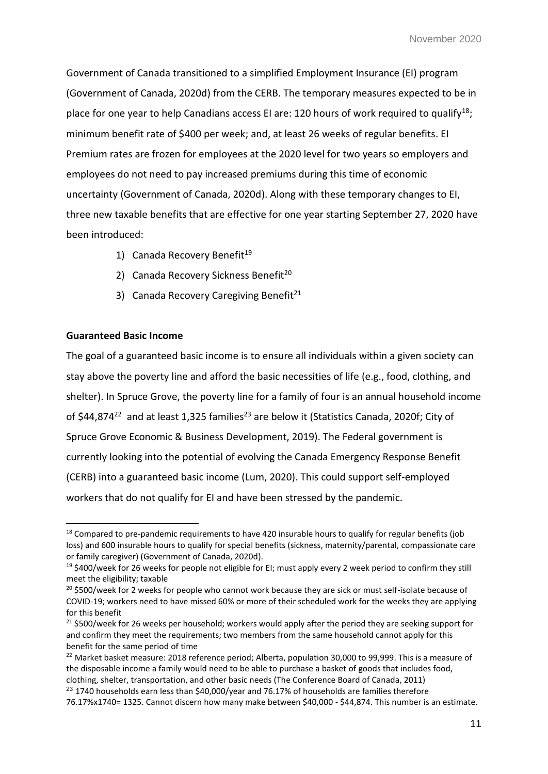Government of Canada transitioned to a simplified Employment Insurance (EI) program (Government of Canada, 2020d) from the CERB. The temporary measures expected to be in place for one year to help Canadians access EI are: 120 hours of work required to qualify<sup>18</sup>; minimum benefit rate of \$400 per week; and, at least 26 weeks of regular benefits. EI Premium rates are frozen for employees at the 2020 level for two years so employers and employees do not need to pay increased premiums during this time of economic uncertainty (Government of Canada, 2020d). Along with these temporary changes to EI, three new taxable benefits that are effective for one year starting September 27, 2020 have been introduced:

- 1) Canada Recovery Benefit<sup>19</sup>
- 2) Canada Recovery Sickness Benefit<sup>20</sup>
- 3) Canada Recovery Caregiving Benefit<sup>21</sup>

### **Guaranteed Basic Income**

-

The goal of a guaranteed basic income is to ensure all individuals within a given society can stay above the poverty line and afford the basic necessities of life (e.g., food, clothing, and shelter). In Spruce Grove, the poverty line for a family of four is an annual household income of \$44,874<sup>22</sup> and at least 1,325 families<sup>23</sup> are below it (Statistics Canada, 2020f; City of Spruce Grove Economic & Business Development, 2019). The Federal government is currently looking into the potential of evolving the Canada Emergency Response Benefit (CERB) into a guaranteed basic income (Lum, 2020). This could support self-employed workers that do not qualify for EI and have been stressed by the pandemic.

<sup>&</sup>lt;sup>18</sup> Compared to pre-pandemic requirements to have 420 insurable hours to qualify for regular benefits (job loss) and 600 insurable hours to qualify for special benefits (sickness, maternity/parental, compassionate care or family caregiver) (Government of Canada, 2020d).

<sup>19</sup> \$400/week for 26 weeks for people not eligible for EI; must apply every 2 week period to confirm they still meet the eligibility; taxable

<sup>&</sup>lt;sup>20</sup> \$500/week for 2 weeks for people who cannot work because they are sick or must self-isolate because of COVID-19; workers need to have missed 60% or more of their scheduled work for the weeks they are applying for this benefit

 $21$  \$500/week for 26 weeks per household; workers would apply after the period they are seeking support for and confirm they meet the requirements; two members from the same household cannot apply for this benefit for the same period of time

<sup>&</sup>lt;sup>22</sup> Market basket measure: 2018 reference period; Alberta, population 30,000 to 99,999. This is a measure of the disposable income a family would need to be able to purchase a basket of goods that includes food, clothing, shelter, transportation, and other basic needs (The Conference Board of Canada, 2011)  $^{23}$  1740 households earn less than \$40,000/year and 76.17% of households are families therefore

<sup>76.17%</sup>x1740= 1325. Cannot discern how many make between \$40,000 - \$44,874. This number is an estimate.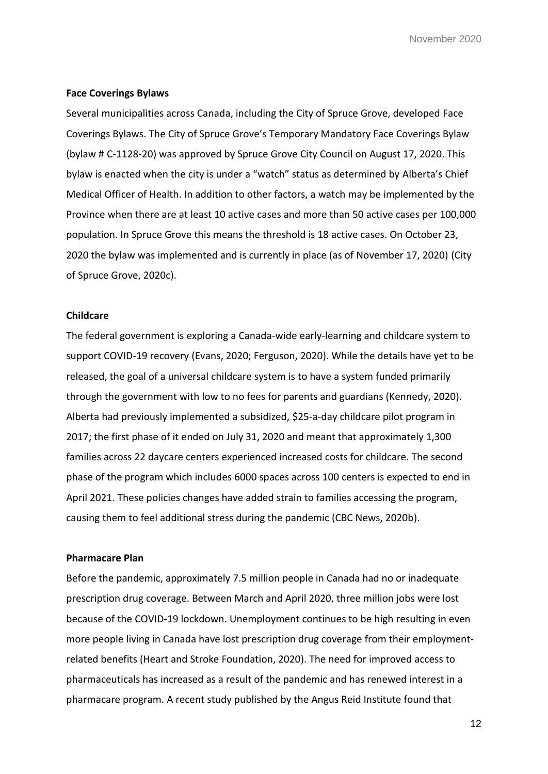#### **Face Coverings Bylaws**

Several municipalities across Canada, including the City of Spruce Grove, developed Face Coverings Bylaws. The City of Spruce Grove's Temporary Mandatory Face Coverings Bylaw (bylaw # C-1128-20) was approved by Spruce Grove City Council on August 17, 2020. This bylaw is enacted when the city is under a "watch" status as determined by Alberta's Chief Medical Officer of Health. In addition to other factors, a watch may be implemented by the Province when there are at least 10 active cases and more than 50 active cases per 100,000 population. In Spruce Grove this means the threshold is 18 active cases. On October 23, 2020 the bylaw was implemented and is currently in place (as of November 17, 2020) (City of Spruce Grove, 2020c).

#### **Childcare**

The federal government is exploring a Canada-wide early-learning and childcare system to support COVID-19 recovery (Evans, 2020; Ferguson, 2020). While the details have yet to be released, the goal of a universal childcare system is to have a system funded primarily through the government with low to no fees for parents and guardians (Kennedy, 2020). Alberta had previously implemented a subsidized, \$25-a-day childcare pilot program in 2017; the first phase of it ended on July 31, 2020 and meant that approximately 1,300 families across 22 daycare centers experienced increased costs for childcare. The second phase of the program which includes 6000 spaces across 100 centers is expected to end in April 2021. These policies changes have added strain to families accessing the program, causing them to feel additional stress during the pandemic (CBC News, 2020b).

#### **Pharmacare Plan**

Before the pandemic, approximately 7.5 million people in Canada had no or inadequate prescription drug coverage. Between March and April 2020, three million jobs were lost because of the COVID-19 lockdown. Unemployment continues to be high resulting in even more people living in Canada have lost prescription drug coverage from their employmentrelated benefits (Heart and Stroke Foundation, 2020). The need for improved access to pharmaceuticals has increased as a result of the pandemic and has renewed interest in a pharmacare program. A recent study published by the Angus Reid Institute found that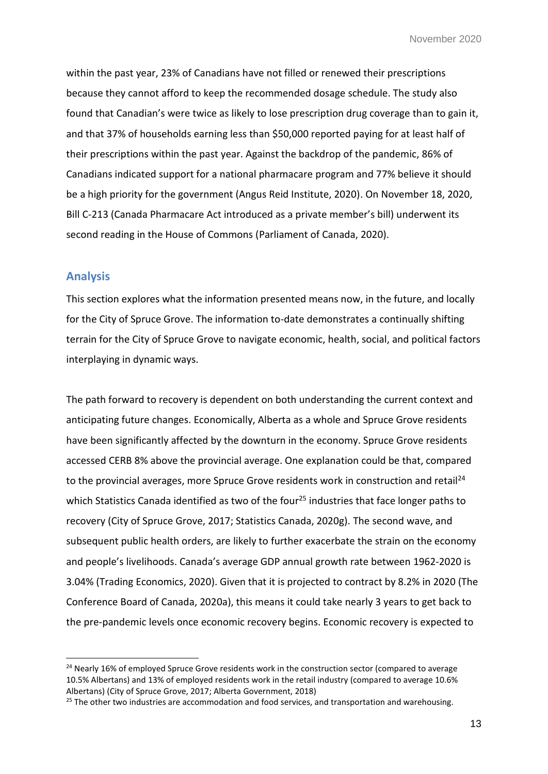within the past year, 23% of Canadians have not filled or renewed their prescriptions because they cannot afford to keep the recommended dosage schedule. The study also found that Canadian's were twice as likely to lose prescription drug coverage than to gain it, and that 37% of households earning less than \$50,000 reported paying for at least half of their prescriptions within the past year. Against the backdrop of the pandemic, 86% of Canadians indicated support for a national pharmacare program and 77% believe it should be a high priority for the government (Angus Reid Institute, 2020). On November 18, 2020, Bill C-213 (Canada Pharmacare Act introduced as a private member's bill) underwent its second reading in the House of Commons (Parliament of Canada, 2020).

## **Analysis**

-

This section explores what the information presented means now, in the future, and locally for the City of Spruce Grove. The information to-date demonstrates a continually shifting terrain for the City of Spruce Grove to navigate economic, health, social, and political factors interplaying in dynamic ways.

The path forward to recovery is dependent on both understanding the current context and anticipating future changes. Economically, Alberta as a whole and Spruce Grove residents have been significantly affected by the downturn in the economy. Spruce Grove residents accessed CERB 8% above the provincial average. One explanation could be that, compared to the provincial averages, more Spruce Grove residents work in construction and retail<sup>24</sup> which Statistics Canada identified as two of the four<sup>25</sup> industries that face longer paths to recovery (City of Spruce Grove, 2017; Statistics Canada, 2020g). The second wave, and subsequent public health orders, are likely to further exacerbate the strain on the economy and people's livelihoods. Canada's average GDP annual growth rate between 1962-2020 is 3.04% (Trading Economics, 2020). Given that it is projected to contract by 8.2% in 2020 (The Conference Board of Canada, 2020a), this means it could take nearly 3 years to get back to the pre-pandemic levels once economic recovery begins. Economic recovery is expected to

<sup>&</sup>lt;sup>24</sup> Nearly 16% of employed Spruce Grove residents work in the construction sector (compared to average 10.5% Albertans) and 13% of employed residents work in the retail industry (compared to average 10.6% Albertans) (City of Spruce Grove, 2017; Alberta Government, 2018)

 $25$  The other two industries are accommodation and food services, and transportation and warehousing.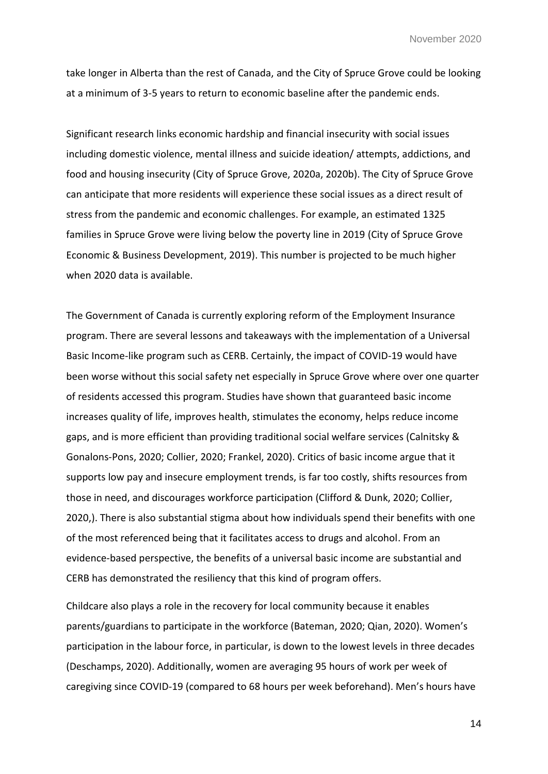take longer in Alberta than the rest of Canada, and the City of Spruce Grove could be looking at a minimum of 3-5 years to return to economic baseline after the pandemic ends.

Significant research links economic hardship and financial insecurity with social issues including domestic violence, mental illness and suicide ideation/ attempts, addictions, and food and housing insecurity (City of Spruce Grove, 2020a, 2020b). The City of Spruce Grove can anticipate that more residents will experience these social issues as a direct result of stress from the pandemic and economic challenges. For example, an estimated 1325 families in Spruce Grove were living below the poverty line in 2019 (City of Spruce Grove Economic & Business Development, 2019). This number is projected to be much higher when 2020 data is available.

The Government of Canada is currently exploring reform of the Employment Insurance program. There are several lessons and takeaways with the implementation of a Universal Basic Income-like program such as CERB. Certainly, the impact of COVID-19 would have been worse without this social safety net especially in Spruce Grove where over one quarter of residents accessed this program. Studies have shown that guaranteed basic income increases quality of life, improves health, stimulates the economy, helps reduce income gaps, and is more efficient than providing traditional social welfare services (Calnitsky & Gonalons-Pons, 2020; Collier, 2020; Frankel, 2020). Critics of basic income argue that it supports low pay and insecure employment trends, is far too costly, shifts resources from those in need, and discourages workforce participation (Clifford & Dunk, 2020; Collier, 2020,). There is also substantial stigma about how individuals spend their benefits with one of the most referenced being that it facilitates access to drugs and alcohol. From an evidence-based perspective, the benefits of a universal basic income are substantial and CERB has demonstrated the resiliency that this kind of program offers.

Childcare also plays a role in the recovery for local community because it enables parents/guardians to participate in the workforce (Bateman, 2020; Qian, 2020). Women's participation in the labour force, in particular, is down to the lowest levels in three decades (Deschamps, 2020). Additionally, women are averaging 95 hours of work per week of caregiving since COVID-19 (compared to 68 hours per week beforehand). Men's hours have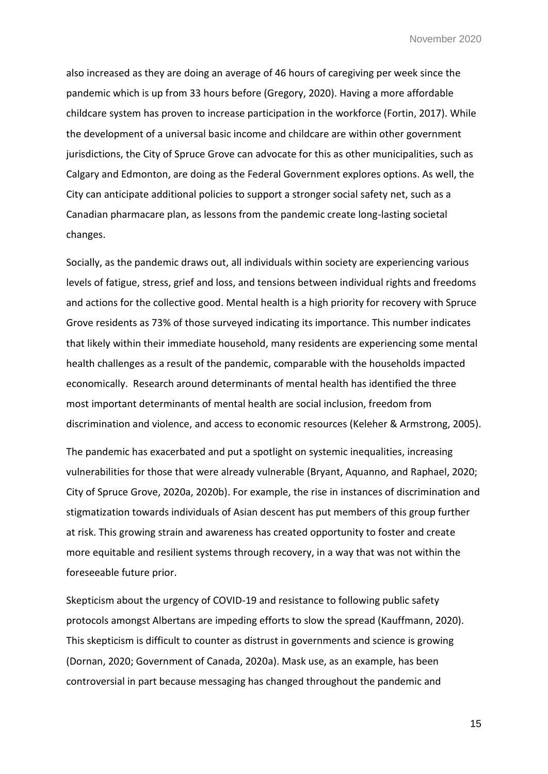also increased as they are doing an average of 46 hours of caregiving per week since the pandemic which is up from 33 hours before (Gregory, 2020). Having a more affordable childcare system has proven to increase participation in the workforce (Fortin, 2017). While the development of a universal basic income and childcare are within other government jurisdictions, the City of Spruce Grove can advocate for this as other municipalities, such as Calgary and Edmonton, are doing as the Federal Government explores options. As well, the City can anticipate additional policies to support a stronger social safety net, such as a Canadian pharmacare plan, as lessons from the pandemic create long-lasting societal changes.

Socially, as the pandemic draws out, all individuals within society are experiencing various levels of fatigue, stress, grief and loss, and tensions between individual rights and freedoms and actions for the collective good. Mental health is a high priority for recovery with Spruce Grove residents as 73% of those surveyed indicating its importance. This number indicates that likely within their immediate household, many residents are experiencing some mental health challenges as a result of the pandemic, comparable with the households impacted economically. Research around determinants of mental health has identified the three most important determinants of mental health are social inclusion, freedom from discrimination and violence, and access to economic resources (Keleher & Armstrong, 2005).

The pandemic has exacerbated and put a spotlight on systemic inequalities, increasing vulnerabilities for those that were already vulnerable (Bryant, Aquanno, and Raphael, 2020; City of Spruce Grove, 2020a, 2020b). For example, the rise in instances of discrimination and stigmatization towards individuals of Asian descent has put members of this group further at risk. This growing strain and awareness has created opportunity to foster and create more equitable and resilient systems through recovery, in a way that was not within the foreseeable future prior.

Skepticism about the urgency of COVID-19 and resistance to following public safety protocols amongst Albertans are impeding efforts to slow the spread (Kauffmann, 2020). This skepticism is difficult to counter as distrust in governments and science is growing (Dornan, 2020; Government of Canada, 2020a). Mask use, as an example, has been controversial in part because messaging has changed throughout the pandemic and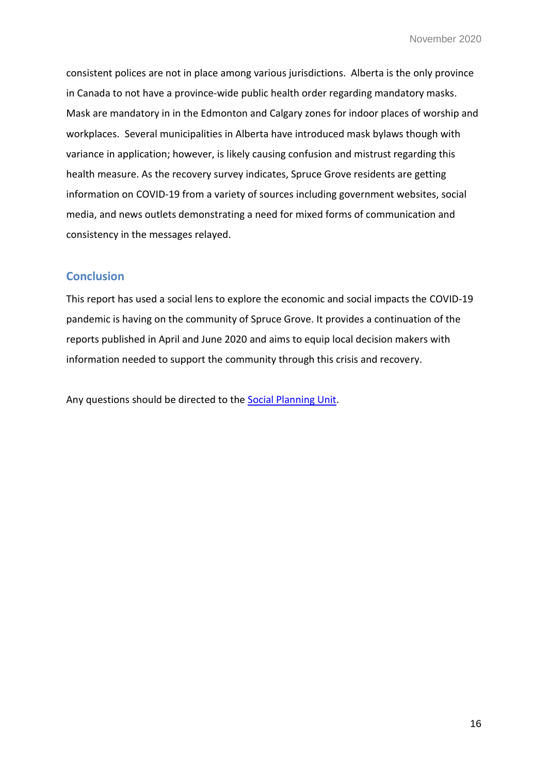consistent polices are not in place among various jurisdictions. Alberta is the only province in Canada to not have a province-wide public health order regarding mandatory masks. Mask are mandatory in in the Edmonton and Calgary zones for indoor places of worship and workplaces. Several municipalities in Alberta have introduced mask bylaws though with variance in application; however, is likely causing confusion and mistrust regarding this health measure. As the recovery survey indicates, Spruce Grove residents are getting information on COVID-19 from a variety of sources including government websites, social media, and news outlets demonstrating a need for mixed forms of communication and consistency in the messages relayed.

# **Conclusion**

This report has used a social lens to explore the economic and social impacts the COVID-19 pandemic is having on the community of Spruce Grove. It provides a continuation of the reports published in April and June 2020 and aims to equip local decision makers with information needed to support the community through this crisis and recovery.

Any questions should be directed to the [Social Planning Unit.](mailto:socialplanning@sprucegrove.org)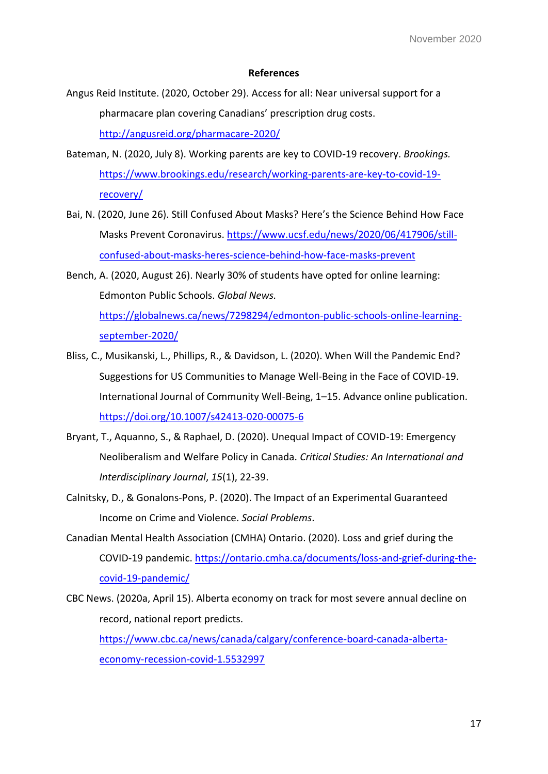#### **References**

- Angus Reid Institute. (2020, October 29). Access for all: Near universal support for a pharmacare plan covering Canadians' prescription drug costs. <http://angusreid.org/pharmacare-2020/>
- Bateman, N. (2020, July 8). Working parents are key to COVID-19 recovery. *Brookings.*  [https://www.brookings.edu/research/working-parents-are-key-to-covid-19](https://www.brookings.edu/research/working-parents-are-key-to-covid-19-recovery/) [recovery/](https://www.brookings.edu/research/working-parents-are-key-to-covid-19-recovery/)
- Bai, N. (2020, June 26). Still Confused About Masks? Here's the Science Behind How Face Masks Prevent Coronavirus[. https://www.ucsf.edu/news/2020/06/417906/still](https://www.ucsf.edu/news/2020/06/417906/still-confused-about-masks-heres-science-behind-how-face-masks-prevent)[confused-about-masks-heres-science-behind-how-face-masks-prevent](https://www.ucsf.edu/news/2020/06/417906/still-confused-about-masks-heres-science-behind-how-face-masks-prevent)
- Bench, A. (2020, August 26). Nearly 30% of students have opted for online learning: Edmonton Public Schools. *Global News.*  [https://globalnews.ca/news/7298294/edmonton-public-schools-online-learning](https://globalnews.ca/news/7298294/edmonton-public-schools-online-learning-september-2020/)[september-2020/](https://globalnews.ca/news/7298294/edmonton-public-schools-online-learning-september-2020/)
- Bliss, C., Musikanski, L., Phillips, R., & Davidson, L. (2020). When Will the Pandemic End? Suggestions for US Communities to Manage Well-Being in the Face of COVID-19. International Journal of Community Well-Being, 1–15. Advance online publication. <https://doi.org/10.1007/s42413-020-00075-6>
- Bryant, T., Aquanno, S., & Raphael, D. (2020). Unequal Impact of COVID-19: Emergency Neoliberalism and Welfare Policy in Canada. *Critical Studies: An International and Interdisciplinary Journal*, *15*(1), 22-39.
- Calnitsky, D., & Gonalons-Pons, P. (2020). The Impact of an Experimental Guaranteed Income on Crime and Violence. *Social Problems*.
- Canadian Mental Health Association (CMHA) Ontario. (2020). Loss and grief during the COVID-19 pandemic. [https://ontario.cmha.ca/documents/loss-and-grief-during-the](https://ontario.cmha.ca/documents/loss-and-grief-during-the-covid-19-pandemic/)[covid-19-pandemic/](https://ontario.cmha.ca/documents/loss-and-grief-during-the-covid-19-pandemic/)
- CBC News. (2020a, April 15). Alberta economy on track for most severe annual decline on record, national report predicts. [https://www.cbc.ca/news/canada/calgary/conference-board-canada-alberta](https://www.cbc.ca/news/canada/calgary/conference-board-canada-alberta-economy-recession-covid-1.5532997)[economy-recession-covid-1.5532997](https://www.cbc.ca/news/canada/calgary/conference-board-canada-alberta-economy-recession-covid-1.5532997)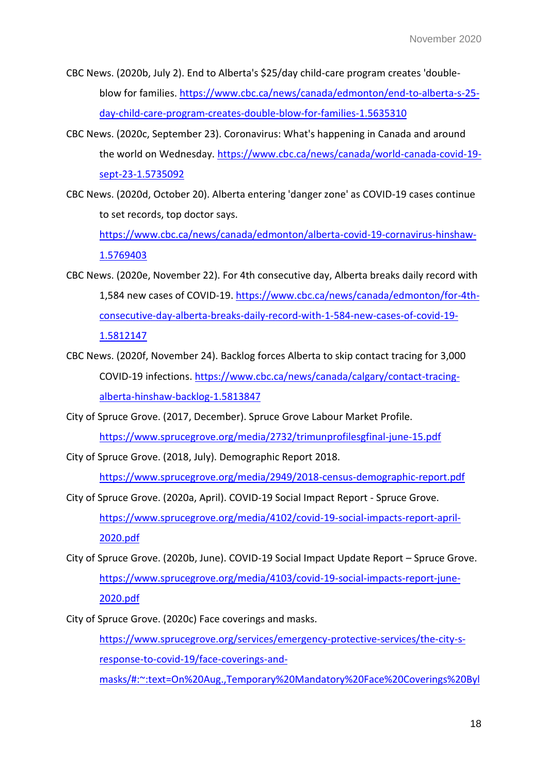- CBC News. (2020b, July 2). End to Alberta's \$25/day child-care program creates 'doubleblow for families. [https://www.cbc.ca/news/canada/edmonton/end-to-alberta-s-25](https://www.cbc.ca/news/canada/edmonton/end-to-alberta-s-25-day-child-care-program-creates-double-blow-for-families-1.5635310) [day-child-care-program-creates-double-blow-for-families-1.5635310](https://www.cbc.ca/news/canada/edmonton/end-to-alberta-s-25-day-child-care-program-creates-double-blow-for-families-1.5635310)
- CBC News. (2020c, September 23). Coronavirus: What's happening in Canada and around the world on Wednesday. [https://www.cbc.ca/news/canada/world-canada-covid-19](https://www.cbc.ca/news/canada/world-canada-covid-19-sept-23-1.5735092) [sept-23-1.5735092](https://www.cbc.ca/news/canada/world-canada-covid-19-sept-23-1.5735092)
- CBC News. (2020d, October 20). Alberta entering 'danger zone' as COVID-19 cases continue to set records, top doctor says.

[https://www.cbc.ca/news/canada/edmonton/alberta-covid-19-cornavirus-hinshaw-](https://www.cbc.ca/news/canada/edmonton/alberta-covid-19-cornavirus-hinshaw-1.5769403)[1.5769403](https://www.cbc.ca/news/canada/edmonton/alberta-covid-19-cornavirus-hinshaw-1.5769403) 

- CBC News. (2020e, November 22). For 4th consecutive day, Alberta breaks daily record with 1,584 new cases of COVID-19. [https://www.cbc.ca/news/canada/edmonton/for-4th](https://www.cbc.ca/news/canada/edmonton/for-4th-consecutive-day-alberta-breaks-daily-record-with-1-584-new-cases-of-covid-19-1.5812147)[consecutive-day-alberta-breaks-daily-record-with-1-584-new-cases-of-covid-19-](https://www.cbc.ca/news/canada/edmonton/for-4th-consecutive-day-alberta-breaks-daily-record-with-1-584-new-cases-of-covid-19-1.5812147) [1.5812147](https://www.cbc.ca/news/canada/edmonton/for-4th-consecutive-day-alberta-breaks-daily-record-with-1-584-new-cases-of-covid-19-1.5812147)
- CBC News. (2020f, November 24). Backlog forces Alberta to skip contact tracing for 3,000 COVID-19 infections[. https://www.cbc.ca/news/canada/calgary/contact-tracing](https://www.cbc.ca/news/canada/calgary/contact-tracing-alberta-hinshaw-backlog-1.5813847)[alberta-hinshaw-backlog-1.5813847](https://www.cbc.ca/news/canada/calgary/contact-tracing-alberta-hinshaw-backlog-1.5813847)
- City of Spruce Grove. (2017, December). Spruce Grove Labour Market Profile. <https://www.sprucegrove.org/media/2732/trimunprofilesgfinal-june-15.pdf>
- City of Spruce Grove. (2018, July). Demographic Report 2018.

<https://www.sprucegrove.org/media/2949/2018-census-demographic-report.pdf>

- City of Spruce Grove. (2020a, April). COVID-19 Social Impact Report Spruce Grove. [https://www.sprucegrove.org/media/4102/covid-19-social-impacts-report-april-](https://www.sprucegrove.org/media/4102/covid-19-social-impacts-report-april-2020.pdf)[2020.pdf](https://www.sprucegrove.org/media/4102/covid-19-social-impacts-report-april-2020.pdf)
- City of Spruce Grove. (2020b, June). COVID-19 Social Impact Update Report Spruce Grove. [https://www.sprucegrove.org/media/4103/covid-19-social-impacts-report-june-](https://www.sprucegrove.org/media/4103/covid-19-social-impacts-report-june-2020.pdf)[2020.pdf](https://www.sprucegrove.org/media/4103/covid-19-social-impacts-report-june-2020.pdf)
- City of Spruce Grove. (2020c) Face coverings and masks.

[https://www.sprucegrove.org/services/emergency-protective-services/the-city-s](https://www.sprucegrove.org/services/emergency-protective-services/the-city-s-response-to-covid-19/face-coverings-and-masks/#:~:text=On%20Aug.,Temporary%20Mandatory%20Face%20Coverings%20Bylaw%20.&text=When%20the%20bylaw%20is%20not,but%20it%20is%20strongly%20encouraged)[response-to-covid-19/face-coverings-and-](https://www.sprucegrove.org/services/emergency-protective-services/the-city-s-response-to-covid-19/face-coverings-and-masks/#:~:text=On%20Aug.,Temporary%20Mandatory%20Face%20Coverings%20Bylaw%20.&text=When%20the%20bylaw%20is%20not,but%20it%20is%20strongly%20encouraged)

[masks/#:~:text=On%20Aug.,Temporary%20Mandatory%20Face%20Coverings%20Byl](https://www.sprucegrove.org/services/emergency-protective-services/the-city-s-response-to-covid-19/face-coverings-and-masks/#:~:text=On%20Aug.,Temporary%20Mandatory%20Face%20Coverings%20Bylaw%20.&text=When%20the%20bylaw%20is%20not,but%20it%20is%20strongly%20encouraged)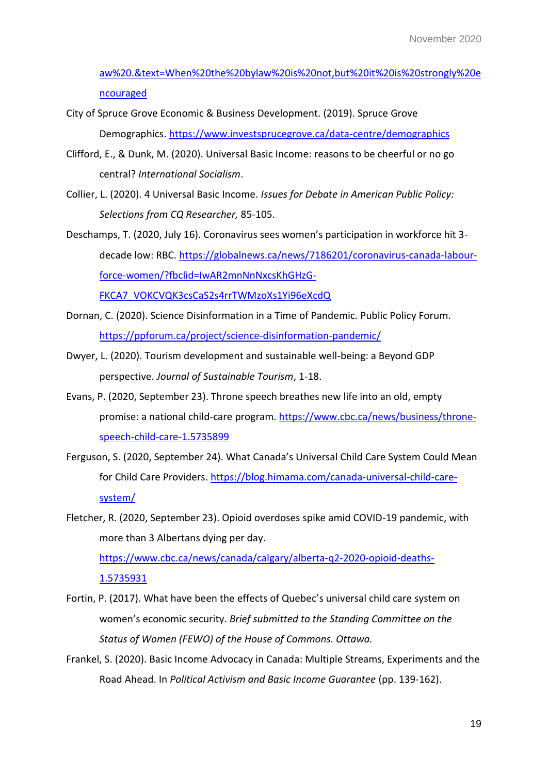[aw%20.&text=When%20the%20bylaw%20is%20not,but%20it%20is%20strongly%20e](https://www.sprucegrove.org/services/emergency-protective-services/the-city-s-response-to-covid-19/face-coverings-and-masks/#:~:text=On%20Aug.,Temporary%20Mandatory%20Face%20Coverings%20Bylaw%20.&text=When%20the%20bylaw%20is%20not,but%20it%20is%20strongly%20encouraged) [ncouraged](https://www.sprucegrove.org/services/emergency-protective-services/the-city-s-response-to-covid-19/face-coverings-and-masks/#:~:text=On%20Aug.,Temporary%20Mandatory%20Face%20Coverings%20Bylaw%20.&text=When%20the%20bylaw%20is%20not,but%20it%20is%20strongly%20encouraged)

- City of Spruce Grove Economic & Business Development. (2019). Spruce Grove Demographics[. https://www.investsprucegrove.ca/data-centre/demographics](https://www.investsprucegrove.ca/data-centre/demographics)
- Clifford, E., & Dunk, M. (2020). Universal Basic Income: reasons to be cheerful or no go central? *International Socialism*.
- Collier, L. (2020). 4 Universal Basic Income. *Issues for Debate in American Public Policy: Selections from CQ Researcher,* 85-105.
- Deschamps, T. (2020, July 16). Coronavirus sees women's participation in workforce hit 3 decade low: RBC. [https://globalnews.ca/news/7186201/coronavirus-canada-labour](https://globalnews.ca/news/7186201/coronavirus-canada-labour-force-women/?fbclid=IwAR2mnNnNxcsKhGHzG-FKCA7_VOKCVQK3csCaS2s4rrTWMzoXs1Yi96eXcdQ)[force-women/?fbclid=IwAR2mnNnNxcsKhGHzG-](https://globalnews.ca/news/7186201/coronavirus-canada-labour-force-women/?fbclid=IwAR2mnNnNxcsKhGHzG-FKCA7_VOKCVQK3csCaS2s4rrTWMzoXs1Yi96eXcdQ)[FKCA7\\_VOKCVQK3csCaS2s4rrTWMzoXs1Yi96eXcdQ](https://globalnews.ca/news/7186201/coronavirus-canada-labour-force-women/?fbclid=IwAR2mnNnNxcsKhGHzG-FKCA7_VOKCVQK3csCaS2s4rrTWMzoXs1Yi96eXcdQ)
- Dornan, C. (2020). Science Disinformation in a Time of Pandemic. Public Policy Forum. <https://ppforum.ca/project/science-disinformation-pandemic/>
- Dwyer, L. (2020). Tourism development and sustainable well-being: a Beyond GDP perspective. *Journal of Sustainable Tourism*, 1-18.
- Evans, P. (2020, September 23). Throne speech breathes new life into an old, empty promise: a national child-care program. [https://www.cbc.ca/news/business/throne](https://www.cbc.ca/news/business/throne-speech-child-care-1.5735899)[speech-child-care-1.5735899](https://www.cbc.ca/news/business/throne-speech-child-care-1.5735899)
- Ferguson, S. (2020, September 24). What Canada's Universal Child Care System Could Mean for Child Care Providers. [https://blog.himama.com/canada-universal-child-care](https://blog.himama.com/canada-universal-child-care-system/)[system/](https://blog.himama.com/canada-universal-child-care-system/)
- Fletcher, R. (2020, September 23). Opioid overdoses spike amid COVID-19 pandemic, with more than 3 Albertans dying per day.

[https://www.cbc.ca/news/canada/calgary/alberta-q2-2020-opioid-deaths-](https://www.cbc.ca/news/canada/calgary/alberta-q2-2020-opioid-deaths-1.5735931)[1.5735931](https://www.cbc.ca/news/canada/calgary/alberta-q2-2020-opioid-deaths-1.5735931) 

- Fortin, P. (2017). What have been the effects of Quebec's universal child care system on women's economic security. *Brief submitted to the Standing Committee on the Status of Women (FEWO) of the House of Commons. Ottawa.*
- Frankel, S. (2020). Basic Income Advocacy in Canada: Multiple Streams, Experiments and the Road Ahead. In *Political Activism and Basic Income Guarantee* (pp. 139-162).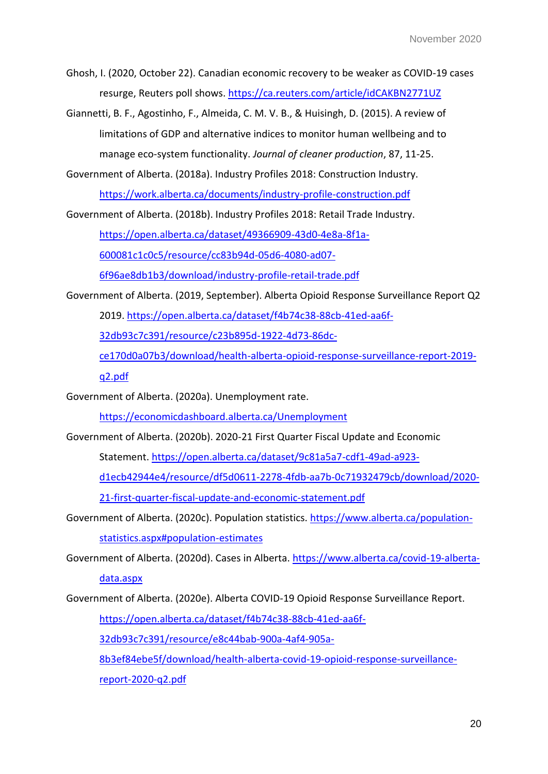Ghosh, I. (2020, October 22). Canadian economic recovery to be weaker as COVID-19 cases resurge, Reuters poll shows.<https://ca.reuters.com/article/idCAKBN2771UZ>

Giannetti, B. F., Agostinho, F., Almeida, C. M. V. B., & Huisingh, D. (2015). A review of limitations of GDP and alternative indices to monitor human wellbeing and to manage eco-system functionality. *Journal of cleaner production*, 87, 11-25.

Government of Alberta. (2018a). Industry Profiles 2018: Construction Industry. <https://work.alberta.ca/documents/industry-profile-construction.pdf>

Government of Alberta. (2018b). Industry Profiles 2018: Retail Trade Industry.

[https://open.alberta.ca/dataset/49366909-43d0-4e8a-8f1a-](https://open.alberta.ca/dataset/49366909-43d0-4e8a-8f1a-600081c1c0c5/resource/cc83b94d-05d6-4080-ad07-6f96ae8db1b3/download/industry-profile-retail-trade.pdf)

[600081c1c0c5/resource/cc83b94d-05d6-4080-ad07-](https://open.alberta.ca/dataset/49366909-43d0-4e8a-8f1a-600081c1c0c5/resource/cc83b94d-05d6-4080-ad07-6f96ae8db1b3/download/industry-profile-retail-trade.pdf)

[6f96ae8db1b3/download/industry-profile-retail-trade.pdf](https://open.alberta.ca/dataset/49366909-43d0-4e8a-8f1a-600081c1c0c5/resource/cc83b94d-05d6-4080-ad07-6f96ae8db1b3/download/industry-profile-retail-trade.pdf) 

Government of Alberta. (2019, September). Alberta Opioid Response Surveillance Report Q2

2019. [https://open.alberta.ca/dataset/f4b74c38-88cb-41ed-aa6f-](https://open.alberta.ca/dataset/f4b74c38-88cb-41ed-aa6f-32db93c7c391/resource/c23b895d-1922-4d73-86dc-ce170d0a07b3/download/health-alberta-opioid-response-surveillance-report-2019-q2.pdf)

[32db93c7c391/resource/c23b895d-1922-4d73-86dc-](https://open.alberta.ca/dataset/f4b74c38-88cb-41ed-aa6f-32db93c7c391/resource/c23b895d-1922-4d73-86dc-ce170d0a07b3/download/health-alberta-opioid-response-surveillance-report-2019-q2.pdf)

[ce170d0a07b3/download/health-alberta-opioid-response-surveillance-report-2019-](https://open.alberta.ca/dataset/f4b74c38-88cb-41ed-aa6f-32db93c7c391/resource/c23b895d-1922-4d73-86dc-ce170d0a07b3/download/health-alberta-opioid-response-surveillance-report-2019-q2.pdf)

[q2.pdf](https://open.alberta.ca/dataset/f4b74c38-88cb-41ed-aa6f-32db93c7c391/resource/c23b895d-1922-4d73-86dc-ce170d0a07b3/download/health-alberta-opioid-response-surveillance-report-2019-q2.pdf) 

Government of Alberta. (2020a). Unemployment rate.

<https://economicdashboard.alberta.ca/Unemployment>

Government of Alberta. (2020b). 2020-21 First Quarter Fiscal Update and Economic

Statement. [https://open.alberta.ca/dataset/9c81a5a7-cdf1-49ad-a923-](https://open.alberta.ca/dataset/9c81a5a7-cdf1-49ad-a923-d1ecb42944e4/resource/df5d0611-2278-4fdb-aa7b-0c71932479cb/download/2020-21-first-quarter-fiscal-update-and-economic-statement.pdf)

[d1ecb42944e4/resource/df5d0611-2278-4fdb-aa7b-0c71932479cb/download/2020-](https://open.alberta.ca/dataset/9c81a5a7-cdf1-49ad-a923-d1ecb42944e4/resource/df5d0611-2278-4fdb-aa7b-0c71932479cb/download/2020-21-first-quarter-fiscal-update-and-economic-statement.pdf)

[21-first-quarter-fiscal-update-and-economic-statement.pdf](https://open.alberta.ca/dataset/9c81a5a7-cdf1-49ad-a923-d1ecb42944e4/resource/df5d0611-2278-4fdb-aa7b-0c71932479cb/download/2020-21-first-quarter-fiscal-update-and-economic-statement.pdf) 

Government of Alberta. (2020c). Population statistics. [https://www.alberta.ca/population](https://www.alberta.ca/population-statistics.aspx#population-estimates)[statistics.aspx#population-estimates](https://www.alberta.ca/population-statistics.aspx#population-estimates)

Government of Alberta. (2020d). Cases in Alberta. [https://www.alberta.ca/covid-19-alberta-](https://www.alberta.ca/covid-19-alberta-data.aspx)

[data.aspx](https://www.alberta.ca/covid-19-alberta-data.aspx) 

Government of Alberta. (2020e). Alberta COVID-19 Opioid Response Surveillance Report.

[https://open.alberta.ca/dataset/f4b74c38-88cb-41ed-aa6f-](https://open.alberta.ca/dataset/f4b74c38-88cb-41ed-aa6f-32db93c7c391/resource/e8c44bab-900a-4af4-905a-8b3ef84ebe5f/download/health-alberta-covid-19-opioid-response-surveillance-report-2020-q2.pdf)

[32db93c7c391/resource/e8c44bab-900a-4af4-905a-](https://open.alberta.ca/dataset/f4b74c38-88cb-41ed-aa6f-32db93c7c391/resource/e8c44bab-900a-4af4-905a-8b3ef84ebe5f/download/health-alberta-covid-19-opioid-response-surveillance-report-2020-q2.pdf)

[8b3ef84ebe5f/download/health-alberta-covid-19-opioid-response-surveillance](https://open.alberta.ca/dataset/f4b74c38-88cb-41ed-aa6f-32db93c7c391/resource/e8c44bab-900a-4af4-905a-8b3ef84ebe5f/download/health-alberta-covid-19-opioid-response-surveillance-report-2020-q2.pdf)[report-2020-q2.pdf](https://open.alberta.ca/dataset/f4b74c38-88cb-41ed-aa6f-32db93c7c391/resource/e8c44bab-900a-4af4-905a-8b3ef84ebe5f/download/health-alberta-covid-19-opioid-response-surveillance-report-2020-q2.pdf)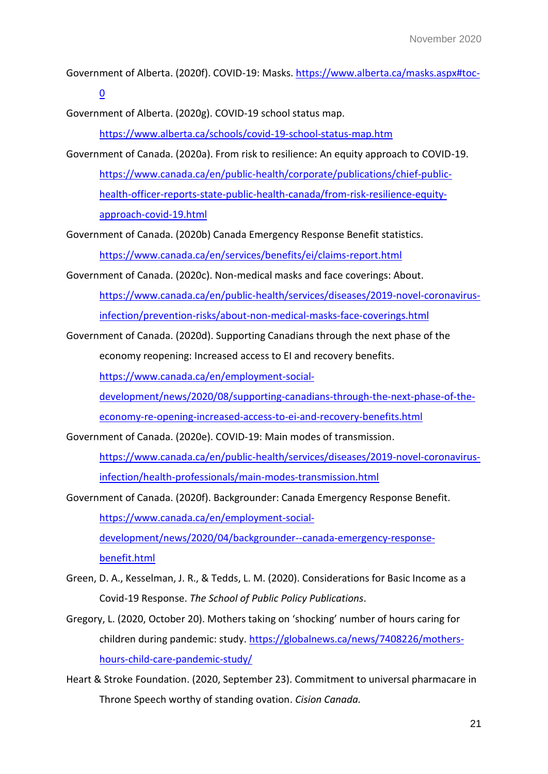Government of Alberta. (2020f). COVID-19: Masks[. https://www.alberta.ca/masks.aspx#toc-](https://www.alberta.ca/masks.aspx#toc-0)

 $\overline{0}$  $\overline{0}$  $\overline{0}$ 

Government of Alberta. (2020g). COVID-19 school status map.

<https://www.alberta.ca/schools/covid-19-school-status-map.htm>

Government of Canada. (2020a). From risk to resilience: An equity approach to COVID-19. [https://www.canada.ca/en/public-health/corporate/publications/chief-public](https://www.canada.ca/en/public-health/corporate/publications/chief-public-health-officer-reports-state-public-health-canada/from-risk-resilience-equity-approach-covid-19.html)[health-officer-reports-state-public-health-canada/from-risk-resilience-equity](https://www.canada.ca/en/public-health/corporate/publications/chief-public-health-officer-reports-state-public-health-canada/from-risk-resilience-equity-approach-covid-19.html)[approach-covid-19.html](https://www.canada.ca/en/public-health/corporate/publications/chief-public-health-officer-reports-state-public-health-canada/from-risk-resilience-equity-approach-covid-19.html)

Government of Canada. (2020b) Canada Emergency Response Benefit statistics. <https://www.canada.ca/en/services/benefits/ei/claims-report.html>

Government of Canada. (2020c). Non-medical masks and face coverings: About. [https://www.canada.ca/en/public-health/services/diseases/2019-novel-coronavirus](https://www.canada.ca/en/public-health/services/diseases/2019-novel-coronavirus-infection/prevention-risks/about-non-medical-masks-face-coverings.html)[infection/prevention-risks/about-non-medical-masks-face-coverings.html](https://www.canada.ca/en/public-health/services/diseases/2019-novel-coronavirus-infection/prevention-risks/about-non-medical-masks-face-coverings.html)

Government of Canada. (2020d). Supporting Canadians through the next phase of the

economy reopening: Increased access to EI and recovery benefits.

https://www.canada.ca/en/employment-social-

development/news/2020/08/supporting-canadians-through-the-next-phase-of-the-

economy-re-opening-increased-access-to-ei-and-recovery-benefits.html

Government of Canada. (2020e). COVID-19: Main modes of transmission.

[https://www.canada.ca/en/public-health/services/diseases/2019-novel-coronavirus](https://www.canada.ca/en/public-health/services/diseases/2019-novel-coronavirus-infection/health-professionals/main-modes-transmission.html)[infection/health-professionals/main-modes-transmission.html](https://www.canada.ca/en/public-health/services/diseases/2019-novel-coronavirus-infection/health-professionals/main-modes-transmission.html) 

Government of Canada. (2020f). Backgrounder: Canada Emergency Response Benefit. [https://www.canada.ca/en/employment-social](https://www.canada.ca/en/employment-social-development/news/2020/04/backgrounder--canada-emergency-response-benefit.html)[development/news/2020/04/backgrounder--canada-emergency-response](https://www.canada.ca/en/employment-social-development/news/2020/04/backgrounder--canada-emergency-response-benefit.html)[benefit.html](https://www.canada.ca/en/employment-social-development/news/2020/04/backgrounder--canada-emergency-response-benefit.html)

- Green, D. A., Kesselman, J. R., & Tedds, L. M. (2020). Considerations for Basic Income as a Covid-19 Response. *The School of Public Policy Publications*.
- Gregory, L. (2020, October 20). Mothers taking on 'shocking' number of hours caring for children during pandemic: study. [https://globalnews.ca/news/7408226/mothers](https://globalnews.ca/news/7408226/mothers-hours-child-care-pandemic-study/)[hours-child-care-pandemic-study/](https://globalnews.ca/news/7408226/mothers-hours-child-care-pandemic-study/)
- Heart & Stroke Foundation. (2020, September 23). Commitment to universal pharmacare in Throne Speech worthy of standing ovation. *Cision Canada.*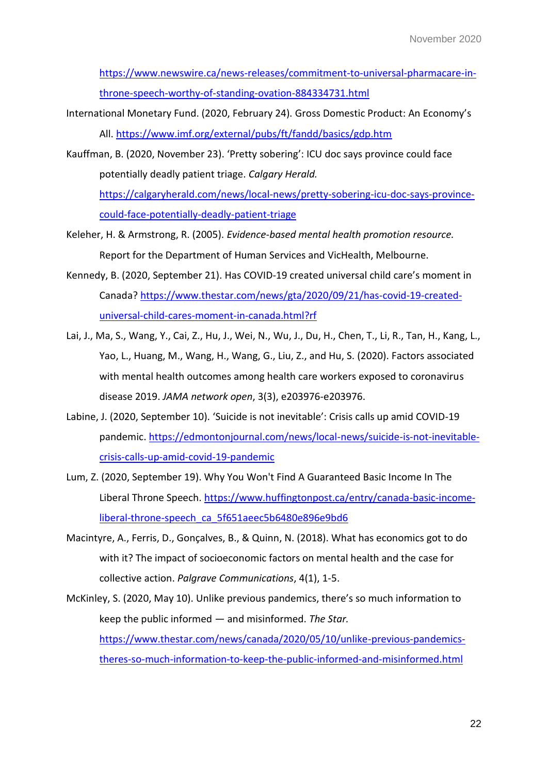[https://www.newswire.ca/news-releases/commitment-to-universal-pharmacare-in](https://www.newswire.ca/news-releases/commitment-to-universal-pharmacare-in-throne-speech-worthy-of-standing-ovation-884334731.html)[throne-speech-worthy-of-standing-ovation-884334731.html](https://www.newswire.ca/news-releases/commitment-to-universal-pharmacare-in-throne-speech-worthy-of-standing-ovation-884334731.html)

- International Monetary Fund. (2020, February 24). Gross Domestic Product: An Economy's All.<https://www.imf.org/external/pubs/ft/fandd/basics/gdp.htm>
- Kauffman, B. (2020, November 23). 'Pretty sobering': ICU doc says province could face potentially deadly patient triage. *Calgary Herald.*  [https://calgaryherald.com/news/local-news/pretty-sobering-icu-doc-says-province-](https://calgaryherald.com/news/local-news/pretty-sobering-icu-doc-says-province-could-face-potentially-deadly-patient-triage)

[could-face-potentially-deadly-patient-triage](https://calgaryherald.com/news/local-news/pretty-sobering-icu-doc-says-province-could-face-potentially-deadly-patient-triage)

- Keleher, H. & Armstrong, R. (2005). *Evidence-based mental health promotion resource.* Report for the Department of Human Services and VicHealth, Melbourne.
- Kennedy, B. (2020, September 21). Has COVID-19 created universal child care's moment in Canada? [https://www.thestar.com/news/gta/2020/09/21/has-covid-19-created](https://www.thestar.com/news/gta/2020/09/21/has-covid-19-created-universal-child-cares-moment-in-canada.html?rf)[universal-child-cares-moment-in-canada.html?rf](https://www.thestar.com/news/gta/2020/09/21/has-covid-19-created-universal-child-cares-moment-in-canada.html?rf)
- Lai, J., Ma, S., Wang, Y., Cai, Z., Hu, J., Wei, N., Wu, J., Du, H., Chen, T., Li, R., Tan, H., Kang, L., Yao, L., Huang, M., Wang, H., Wang, G., Liu, Z., and Hu, S. (2020). Factors associated with mental health outcomes among health care workers exposed to coronavirus disease 2019. *JAMA network open*, 3(3), e203976-e203976.
- Labine, J. (2020, September 10). 'Suicide is not inevitable': Crisis calls up amid COVID-19 pandemic. [https://edmontonjournal.com/news/local-news/suicide-is-not-inevitable](https://edmontonjournal.com/news/local-news/suicide-is-not-inevitable-crisis-calls-up-amid-covid-19-pandemic)[crisis-calls-up-amid-covid-19-pandemic](https://edmontonjournal.com/news/local-news/suicide-is-not-inevitable-crisis-calls-up-amid-covid-19-pandemic)
- Lum, Z. (2020, September 19). Why You Won't Find A Guaranteed Basic Income In The Liberal Throne Speech. [https://www.huffingtonpost.ca/entry/canada-basic-income](https://www.huffingtonpost.ca/entry/canada-basic-income-liberal-throne-speech_ca_5f651aeec5b6480e896e9bd6)[liberal-throne-speech\\_ca\\_5f651aeec5b6480e896e9bd6](https://www.huffingtonpost.ca/entry/canada-basic-income-liberal-throne-speech_ca_5f651aeec5b6480e896e9bd6)
- Macintyre, A., Ferris, D., Gonçalves, B., & Quinn, N. (2018). What has economics got to do with it? The impact of socioeconomic factors on mental health and the case for collective action. *Palgrave Communications*, 4(1), 1-5.
- McKinley, S. (2020, May 10). Unlike previous pandemics, there's so much information to keep the public informed — and misinformed. *The Star.*  [https://www.thestar.com/news/canada/2020/05/10/unlike-previous-pandemics](https://www.thestar.com/news/canada/2020/05/10/unlike-previous-pandemics-theres-so-much-information-to-keep-the-public-informed-and-misinformed.html)[theres-so-much-information-to-keep-the-public-informed-and-misinformed.html](https://www.thestar.com/news/canada/2020/05/10/unlike-previous-pandemics-theres-so-much-information-to-keep-the-public-informed-and-misinformed.html)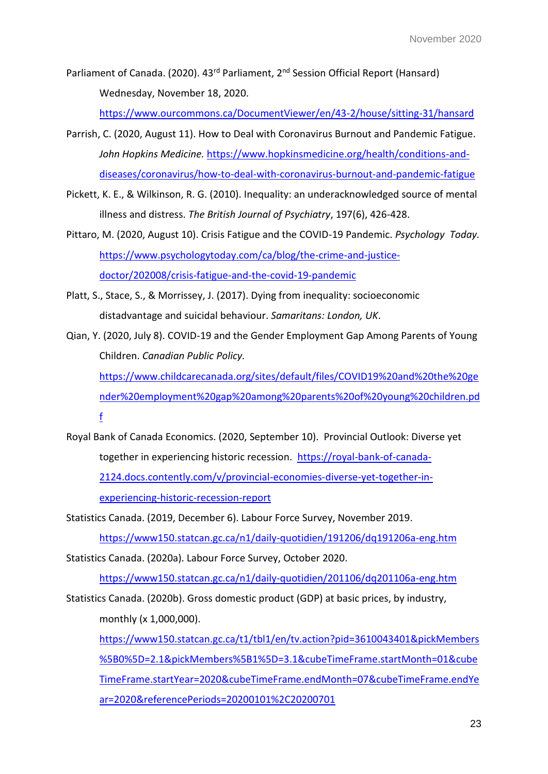Parliament of Canada. (2020). 43<sup>rd</sup> Parliament, 2<sup>nd</sup> Session Official Report (Hansard) Wednesday, November 18, 2020.

<https://www.ourcommons.ca/DocumentViewer/en/43-2/house/sitting-31/hansard>

- Parrish, C. (2020, August 11). How to Deal with Coronavirus Burnout and Pandemic Fatigue. *John Hopkins Medicine.* [https://www.hopkinsmedicine.org/health/conditions-and](https://www.hopkinsmedicine.org/health/conditions-and-diseases/coronavirus/how-to-deal-with-coronavirus-burnout-and-pandemic-fatigue)[diseases/coronavirus/how-to-deal-with-coronavirus-burnout-and-pandemic-fatigue](https://www.hopkinsmedicine.org/health/conditions-and-diseases/coronavirus/how-to-deal-with-coronavirus-burnout-and-pandemic-fatigue)
- Pickett, K. E., & Wilkinson, R. G. (2010). Inequality: an underacknowledged source of mental illness and distress. *The British Journal of Psychiatry*, 197(6), 426-428.
- Pittaro, M. (2020, August 10). Crisis Fatigue and the COVID-19 Pandemic. *Psychology Today.*  [https://www.psychologytoday.com/ca/blog/the-crime-and-justice](https://www.psychologytoday.com/ca/blog/the-crime-and-justice-doctor/202008/crisis-fatigue-and-the-covid-19-pandemic)[doctor/202008/crisis-fatigue-and-the-covid-19-pandemic](https://www.psychologytoday.com/ca/blog/the-crime-and-justice-doctor/202008/crisis-fatigue-and-the-covid-19-pandemic)
- Platt, S., Stace, S., & Morrissey, J. (2017). Dying from inequality: socioeconomic distadvantage and suicidal behaviour. *Samaritans: London, UK*.

Qian, Y. (2020, July 8). COVID-19 and the Gender Employment Gap Among Parents of Young Children. *Canadian Public Policy.*  [https://www.childcarecanada.org/sites/default/files/COVID19%20and%20the%20ge](https://www.childcarecanada.org/sites/default/files/COVID19%20and%20the%20gender%20employment%20gap%20among%20parents%20of%20young%20children.pdf) [nder%20employment%20gap%20among%20parents%20of%20young%20children.pd](https://www.childcarecanada.org/sites/default/files/COVID19%20and%20the%20gender%20employment%20gap%20among%20parents%20of%20young%20children.pdf) [f](https://www.childcarecanada.org/sites/default/files/COVID19%20and%20the%20gender%20employment%20gap%20among%20parents%20of%20young%20children.pdf)

Royal Bank of Canada Economics. (2020, September 10). Provincial Outlook: Diverse yet together in experiencing historic recession. [https://royal-bank-of-canada-](https://royal-bank-of-canada-2124.docs.contently.com/v/provincial-economies-diverse-yet-together-in-experiencing-historic-recession-report)[2124.docs.contently.com/v/provincial-economies-diverse-yet-together-in](https://royal-bank-of-canada-2124.docs.contently.com/v/provincial-economies-diverse-yet-together-in-experiencing-historic-recession-report)[experiencing-historic-recession-report](https://royal-bank-of-canada-2124.docs.contently.com/v/provincial-economies-diverse-yet-together-in-experiencing-historic-recession-report)

Statistics Canada. (2019, December 6). Labour Force Survey, November 2019.

<https://www150.statcan.gc.ca/n1/daily-quotidien/191206/dq191206a-eng.htm>

Statistics Canada. (2020a). Labour Force Survey, October 2020.

<https://www150.statcan.gc.ca/n1/daily-quotidien/201106/dq201106a-eng.htm>

Statistics Canada. (2020b). Gross domestic product (GDP) at basic prices, by industry, monthly (x 1,000,000).

[https://www150.statcan.gc.ca/t1/tbl1/en/tv.action?pid=3610043401&pickMembers](https://www150.statcan.gc.ca/t1/tbl1/en/tv.action?pid=3610043401&pickMembers%5B0%5D=2.1&pickMembers%5B1%5D=3.1&cubeTimeFrame.startMonth=01&cubeTimeFrame.startYear=2020&cubeTimeFrame.endMonth=07&cubeTimeFrame.endYear=2020&referencePeriods=20200101%2C20200701) [%5B0%5D=2.1&pickMembers%5B1%5D=3.1&cubeTimeFrame.startMonth=01&cube](https://www150.statcan.gc.ca/t1/tbl1/en/tv.action?pid=3610043401&pickMembers%5B0%5D=2.1&pickMembers%5B1%5D=3.1&cubeTimeFrame.startMonth=01&cubeTimeFrame.startYear=2020&cubeTimeFrame.endMonth=07&cubeTimeFrame.endYear=2020&referencePeriods=20200101%2C20200701) [TimeFrame.startYear=2020&cubeTimeFrame.endMonth=07&cubeTimeFrame.endYe](https://www150.statcan.gc.ca/t1/tbl1/en/tv.action?pid=3610043401&pickMembers%5B0%5D=2.1&pickMembers%5B1%5D=3.1&cubeTimeFrame.startMonth=01&cubeTimeFrame.startYear=2020&cubeTimeFrame.endMonth=07&cubeTimeFrame.endYear=2020&referencePeriods=20200101%2C20200701) [ar=2020&referencePeriods=20200101%2C20200701](https://www150.statcan.gc.ca/t1/tbl1/en/tv.action?pid=3610043401&pickMembers%5B0%5D=2.1&pickMembers%5B1%5D=3.1&cubeTimeFrame.startMonth=01&cubeTimeFrame.startYear=2020&cubeTimeFrame.endMonth=07&cubeTimeFrame.endYear=2020&referencePeriods=20200101%2C20200701)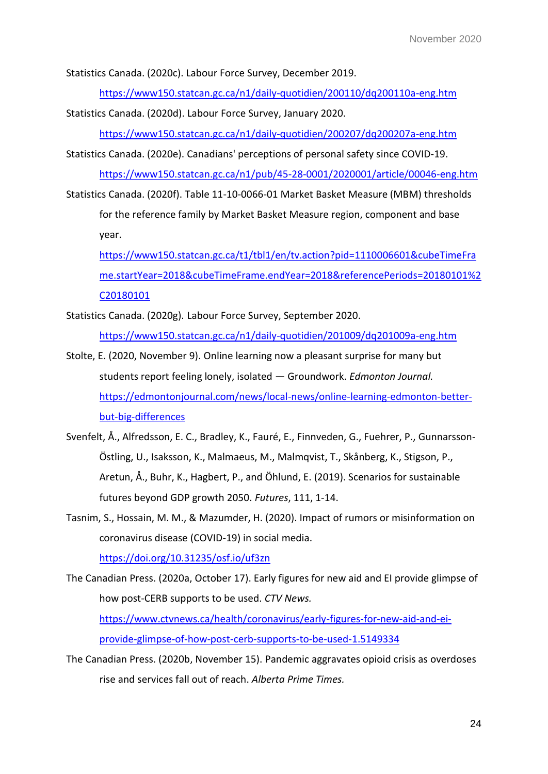Statistics Canada. (2020c). Labour Force Survey, December 2019.

<https://www150.statcan.gc.ca/n1/daily-quotidien/200110/dq200110a-eng.htm>

Statistics Canada. (2020d). Labour Force Survey, January 2020.

<https://www150.statcan.gc.ca/n1/daily-quotidien/200207/dq200207a-eng.htm>

Statistics Canada. (2020e). Canadians' perceptions of personal safety since COVID-19. <https://www150.statcan.gc.ca/n1/pub/45-28-0001/2020001/article/00046-eng.htm>

Statistics Canada. (2020f). Table 11-10-0066-01 Market Basket Measure (MBM) thresholds

for the reference family by Market Basket Measure region, component and base year.

[https://www150.statcan.gc.ca/t1/tbl1/en/tv.action?pid=1110006601&cubeTimeFra](https://www150.statcan.gc.ca/t1/tbl1/en/tv.action?pid=1110006601&cubeTimeFrame.startYear=2018&cubeTimeFrame.endYear=2018&referencePeriods=20180101%2C20180101) [me.startYear=2018&cubeTimeFrame.endYear=2018&referencePeriods=20180101%2](https://www150.statcan.gc.ca/t1/tbl1/en/tv.action?pid=1110006601&cubeTimeFrame.startYear=2018&cubeTimeFrame.endYear=2018&referencePeriods=20180101%2C20180101) [C20180101](https://www150.statcan.gc.ca/t1/tbl1/en/tv.action?pid=1110006601&cubeTimeFrame.startYear=2018&cubeTimeFrame.endYear=2018&referencePeriods=20180101%2C20180101) 

Statistics Canada. (2020g). Labour Force Survey, September 2020.

<https://www150.statcan.gc.ca/n1/daily-quotidien/201009/dq201009a-eng.htm>

- Stolte, E. (2020, November 9). Online learning now a pleasant surprise for many but students report feeling lonely, isolated — Groundwork. *Edmonton Journal.*  [https://edmontonjournal.com/news/local-news/online-learning-edmonton-better](https://edmontonjournal.com/news/local-news/online-learning-edmonton-better-but-big-differences)[but-big-differences](https://edmontonjournal.com/news/local-news/online-learning-edmonton-better-but-big-differences)
- Svenfelt, Å., Alfredsson, E. C., Bradley, K., Fauré, E., Finnveden, G., Fuehrer, P., Gunnarsson-Östling, U., Isaksson, K., Malmaeus, M., Malmqvist, T., Skånberg, K., Stigson, P., Aretun, Å., Buhr, K., Hagbert, P., and Öhlund, E. (2019). Scenarios for sustainable futures beyond GDP growth 2050. *Futures*, 111, 1-14.
- Tasnim, S., Hossain, M. M., & Mazumder, H. (2020). Impact of rumors or misinformation on coronavirus disease (COVID-19) in social media.

<https://doi.org/10.31235/osf.io/uf3zn>

The Canadian Press. (2020a, October 17). Early figures for new aid and EI provide glimpse of how post-CERB supports to be used. *CTV News.* [https://www.ctvnews.ca/health/coronavirus/early-figures-for-new-aid-and-ei-](https://www.ctvnews.ca/health/coronavirus/early-figures-for-new-aid-and-ei-provide-glimpse-of-how-post-cerb-supports-to-be-used-1.5149334)

[provide-glimpse-of-how-post-cerb-supports-to-be-used-1.5149334](https://www.ctvnews.ca/health/coronavirus/early-figures-for-new-aid-and-ei-provide-glimpse-of-how-post-cerb-supports-to-be-used-1.5149334)

The Canadian Press. (2020b, November 15). Pandemic aggravates opioid crisis as overdoses rise and services fall out of reach. *Alberta Prime Times.*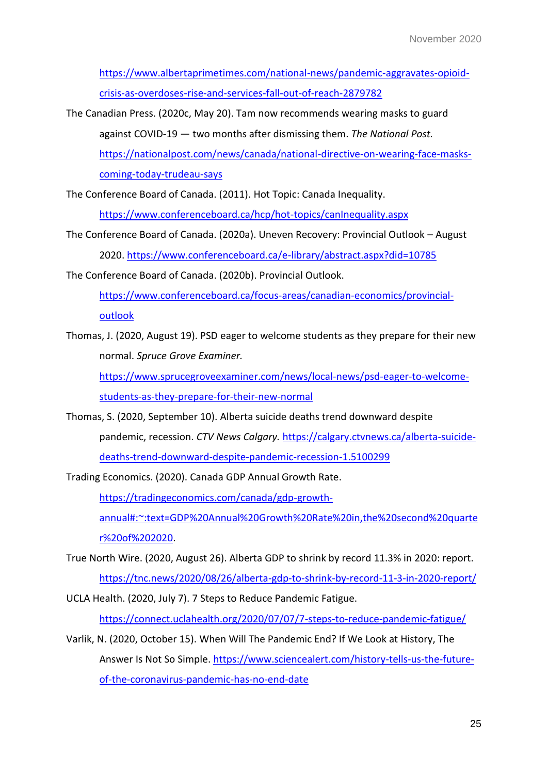[https://www.albertaprimetimes.com/national-news/pandemic-aggravates-opioid](https://www.albertaprimetimes.com/national-news/pandemic-aggravates-opioid-crisis-as-overdoses-rise-and-services-fall-out-of-reach-2879782)[crisis-as-overdoses-rise-and-services-fall-out-of-reach-2879782](https://www.albertaprimetimes.com/national-news/pandemic-aggravates-opioid-crisis-as-overdoses-rise-and-services-fall-out-of-reach-2879782) 

The Canadian Press. (2020c, May 20). Tam now recommends wearing masks to guard against COVID-19 — two months after dismissing them. *The National Post.*  [https://nationalpost.com/news/canada/national-directive-on-wearing-face-masks](https://nationalpost.com/news/canada/national-directive-on-wearing-face-masks-coming-today-trudeau-says)[coming-today-trudeau-says](https://nationalpost.com/news/canada/national-directive-on-wearing-face-masks-coming-today-trudeau-says)

The Conference Board of Canada. (2011). Hot Topic: Canada Inequality. <https://www.conferenceboard.ca/hcp/hot-topics/canInequality.aspx>

The Conference Board of Canada. (2020a). Uneven Recovery: Provincial Outlook – August 2020.<https://www.conferenceboard.ca/e-library/abstract.aspx?did=10785>

The Conference Board of Canada. (2020b). Provincial Outlook.

[https://www.conferenceboard.ca/focus-areas/canadian-economics/provincial](https://www.conferenceboard.ca/focus-areas/canadian-economics/provincial-outlook)**outlook** 

Thomas, J. (2020, August 19). PSD eager to welcome students as they prepare for their new normal. *Spruce Grove Examiner.* 

[https://www.sprucegroveexaminer.com/news/local-news/psd-eager-to-welcome](https://www.sprucegroveexaminer.com/news/local-news/psd-eager-to-welcome-students-as-they-prepare-for-their-new-normal)[students-as-they-prepare-for-their-new-normal](https://www.sprucegroveexaminer.com/news/local-news/psd-eager-to-welcome-students-as-they-prepare-for-their-new-normal)

Thomas, S. (2020, September 10). Alberta suicide deaths trend downward despite pandemic, recession. *CTV News Calgary.* [https://calgary.ctvnews.ca/alberta-suicide](https://calgary.ctvnews.ca/alberta-suicide-deaths-trend-downward-despite-pandemic-recession-1.5100299)[deaths-trend-downward-despite-pandemic-recession-1.5100299](https://calgary.ctvnews.ca/alberta-suicide-deaths-trend-downward-despite-pandemic-recession-1.5100299) 

Trading Economics. (2020). Canada GDP Annual Growth Rate.

[https://tradingeconomics.com/canada/gdp-growth](https://tradingeconomics.com/canada/gdp-growth-annual#:~:text=GDP%20Annual%20Growth%20Rate%20in,the%20second%20quarter%20of%202020)[annual#:~:text=GDP%20Annual%20Growth%20Rate%20in,the%20second%20quarte](https://tradingeconomics.com/canada/gdp-growth-annual#:~:text=GDP%20Annual%20Growth%20Rate%20in,the%20second%20quarter%20of%202020) [r%20of%202020.](https://tradingeconomics.com/canada/gdp-growth-annual#:~:text=GDP%20Annual%20Growth%20Rate%20in,the%20second%20quarter%20of%202020)

- True North Wire. (2020, August 26). Alberta GDP to shrink by record 11.3% in 2020: report. <https://tnc.news/2020/08/26/alberta-gdp-to-shrink-by-record-11-3-in-2020-report/>
- UCLA Health. (2020, July 7). 7 Steps to Reduce Pandemic Fatigue. <https://connect.uclahealth.org/2020/07/07/7-steps-to-reduce-pandemic-fatigue/>
- Varlik, N. (2020, October 15). When Will The Pandemic End? If We Look at History, The Answer Is Not So Simple. [https://www.sciencealert.com/history-tells-us-the-future](https://www.sciencealert.com/history-tells-us-the-future-of-the-coronavirus-pandemic-has-no-end-date)[of-the-coronavirus-pandemic-has-no-end-date](https://www.sciencealert.com/history-tells-us-the-future-of-the-coronavirus-pandemic-has-no-end-date)